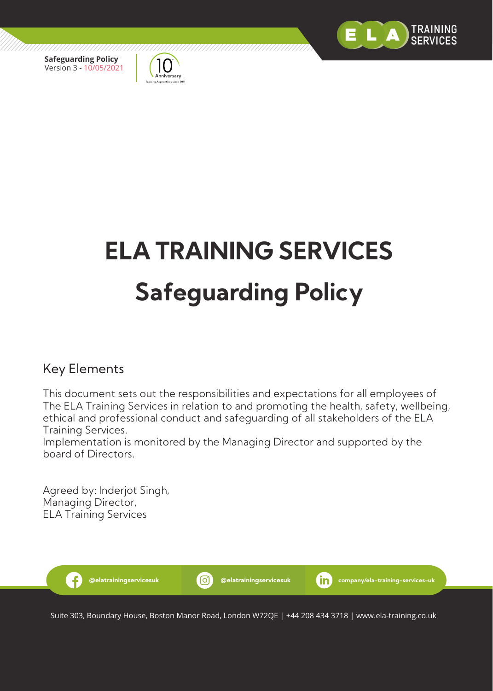



# **ELA TRAINING SERVICES Safeguarding Policy**

# Key Elements

This document sets out the responsibilities and expectations for all employees of The ELA Training Services in relation to and promoting the health, safety, wellbeing, ethical and professional conduct and safeguarding of all stakeholders of the ELA Training Services.

Implementation is monitored by the Managing Director and supported by the board of Directors.

Agreed by: Inderjot Singh, Managing Director, ELA Training Services



Suite 303, Boundary House, Boston Manor Road, London W72QE | +44 208 434 3718 | www.ela-training.co.uk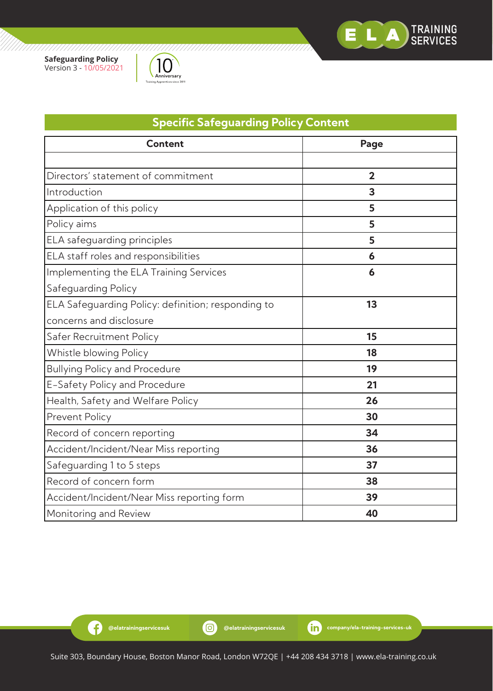



| <b>Specific Safeguarding Policy Content</b>        |                |  |  |
|----------------------------------------------------|----------------|--|--|
| <b>Content</b>                                     | Page           |  |  |
|                                                    |                |  |  |
| Directors' statement of commitment                 | $\overline{2}$ |  |  |
| Introduction                                       | 3              |  |  |
| Application of this policy                         | 5              |  |  |
| Policy aims                                        | 5              |  |  |
| ELA safeguarding principles                        | 5              |  |  |
| ELA staff roles and responsibilities               | 6              |  |  |
| Implementing the ELA Training Services             | 6              |  |  |
| Safeguarding Policy                                |                |  |  |
| ELA Safeguarding Policy: definition; responding to | 13             |  |  |
| concerns and disclosure                            |                |  |  |
| Safer Recruitment Policy                           | 15             |  |  |
| Whistle blowing Policy                             | 18             |  |  |
| <b>Bullying Policy and Procedure</b>               | 19             |  |  |
| E-Safety Policy and Procedure                      | 21             |  |  |
| Health, Safety and Welfare Policy                  | 26             |  |  |
| Prevent Policy                                     | 30             |  |  |
| Record of concern reporting                        | 34             |  |  |
| Accident/Incident/Near Miss reporting              | 36             |  |  |
| Safeguarding 1 to 5 steps                          | 37             |  |  |
| Record of concern form                             | 38             |  |  |
| Accident/Incident/Near Miss reporting form         | 39             |  |  |
| Monitoring and Review                              | 40             |  |  |

G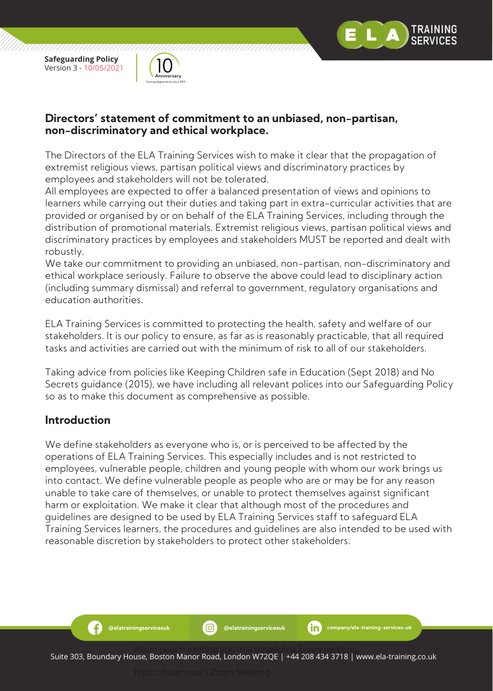

,,,,,,,,,,,,,,,,,,,,,,,,



#### **Directors' statement of commitment to an unbiased, non-partisan, non-discriminatory and ethical workplace.**

The Directors of the ELA Training Services wish to make it clear that the propagation of extremist religious views, partisan political views and discriminatory practices by employees and stakeholders will not be tolerated.

All employees are expected to offer a balanced presentation of views and opinions to learners while carrying out their duties and taking part in extra-curricular activities that are provided or organised by or on behalf of the ELA Training Services, including through the distribution of promotional materials. Extremist religious views, partisan political views and discriminatory practices by employees and stakeholders MUST be reported and dealt with robustly.

We take our commitment to providing an unbiased, non-partisan, non-discriminatory and ethical workplace seriously. Failure to observe the above could lead to disciplinary action (including summary dismissal) and referral to government, regulatory organisations and education authorities.

ELA Training Services is committed to protecting the health, safety and welfare of our stakeholders. It is our policy to ensure, as far as is reasonably practicable, that all required tasks and activities are carried out with the minimum of risk to all of our stakeholders.

Taking advice from policies like Keeping Children safe in Education (Sept 2018) and No Secrets guidance (2015), we have including all relevant polices into our Safeguarding Policy so as to make this document as comprehensive as possible.

## **Introduction**

Ð

We define stakeholders as everyone who is, or is perceived to be affected by the operations of ELA Training Services. This especially includes and is not restricted to employees, vulnerable people, children and young people with whom our work brings us into contact. We define vulnerable people as people who are or may be for any reason unable to take care of themselves, or unable to protect themselves against significant harm or exploitation. We make it clear that although most of the procedures and guidelines are designed to be used by ELA Training Services staff to safeguard ELA Training Services learners, the procedures and guidelines are also intended to be used with reasonable discretion by stakeholders to protect other stakeholders.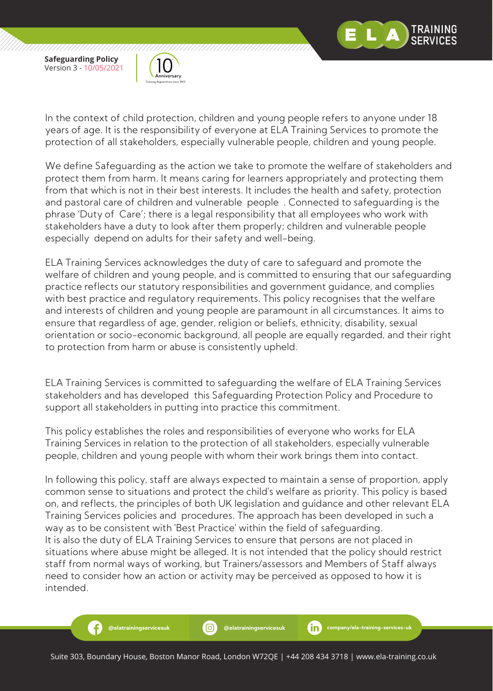

RAINING

**Safeguarding Policy** Version 3 - 10/05/2021

Æ



In the context of child protection, children and young people refers to anyone under 18 years of age. It is the responsibility of everyone at ELA Training Services to promote the protection of all stakeholders, especially vulnerable people, children and young people.

We define Safeguarding as the action we take to promote the welfare of stakeholders and protect them from harm. It means caring for learners appropriately and protecting them from that which is not in their best interests. It includes the health and safety, protection and pastoral care of children and vulnerable people . Connected to safeguarding is the phrase 'Duty of Care'; there is a legal responsibility that all employees who work with stakeholders have a duty to look after them properly; children and vulnerable people especially depend on adults for their safety and well-being.

ELA Training Services acknowledges the duty of care to safeguard and promote the welfare of children and young people, and is committed to ensuring that our safeguarding practice reflects our statutory responsibilities and government guidance, and complies with best practice and regulatory requirements. This policy recognises that the welfare and interests of children and young people are paramount in all circumstances. It aims to ensure that regardless of age, gender, religion or beliefs, ethnicity, disability, sexual orientation or socio-economic background, all people are equally regarded, and their right to protection from harm or abuse is consistently upheld.

ELA Training Services is committed to safeguarding the welfare of ELA Training Services stakeholders and has developed this Safeguarding Protection Policy and Procedure to support all stakeholders in putting into practice this commitment.

This policy establishes the roles and responsibilities of everyone who works for ELA Training Services in relation to the protection of all stakeholders, especially vulnerable people, children and young people with whom their work brings them into contact.

In following this policy, staff are always expected to maintain a sense of proportion, apply common sense to situations and protect the child's welfare as priority. This policy is based on, and reflects, the principles of both UK legislation and guidance and other relevant ELA Training Services policies and procedures. The approach has been developed in such a way as to be consistent with 'Best Practice' within the field of safeguarding. It is also the duty of ELA Training Services to ensure that persons are not placed in situations where abuse might be alleged. It is not intended that the policy should restrict staff from normal ways of working, but Trainers/assessors and Members of Staff always need to consider how an action or activity may be perceived as opposed to how it is intended.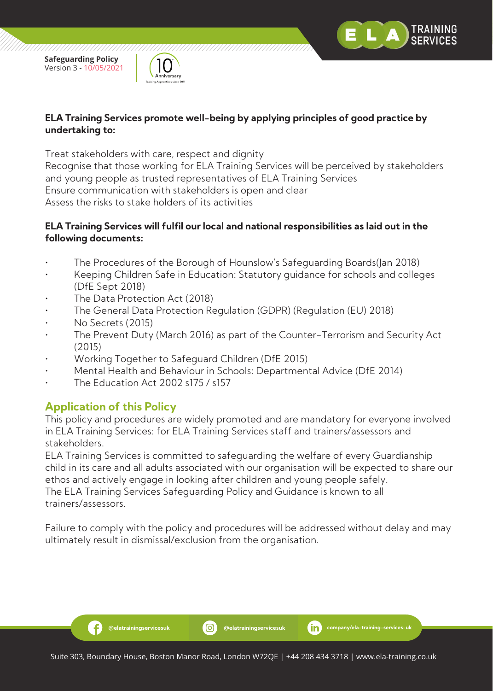



#### **ELA Training Services promote well-being by applying principles of good practice by undertaking to:**

Treat stakeholders with care, respect and dignity

Recognise that those working for ELA Training Services will be perceived by stakeholders and young people as trusted representatives of ELA Training Services Ensure communication with stakeholders is open and clear Assess the risks to stake holders of its activities

#### **ELA Training Services will fulfil our local and national responsibilities as laid out in the following documents:**

- The Procedures of the Borough of Hounslow's Safeguarding Boards(Jan 2018)
- Keeping Children Safe in Education: Statutory guidance for schools and colleges (DfE Sept 2018)
- The Data Protection Act (2018)
- The General Data Protection Regulation (GDPR) (Regulation (EU) 2018)
- No Secrets (2015)
- The Prevent Duty (March 2016) as part of the Counter-Terrorism and Security Act (2015)
- Working Together to Safeguard Children (DfE 2015)
- Mental Health and Behaviour in Schools: Departmental Advice (DfE 2014)
- The Education Act 2002 s175 / s157

# **Application of this Policy**

Ð

This policy and procedures are widely promoted and are mandatory for everyone involved in ELA Training Services: for ELA Training Services staff and trainers/assessors and stakeholders.

ELA Training Services is committed to safeguarding the welfare of every Guardianship child in its care and all adults associated with our organisation will be expected to share our ethos and actively engage in looking after children and young people safely. The ELA Training Services Safeguarding Policy and Guidance is known to all trainers/assessors.

Failure to comply with the policy and procedures will be addressed without delay and may ultimately result in dismissal/exclusion from the organisation.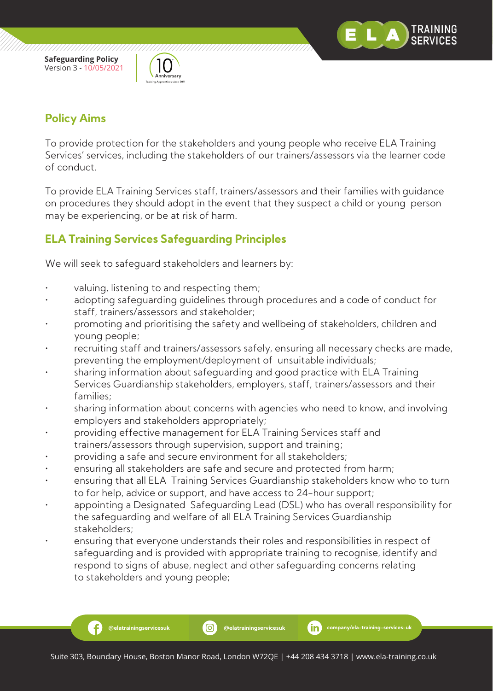



# **Policy Aims**

Ð

To provide protection for the stakeholders and young people who receive ELA Training Services' services, including the stakeholders of our trainers/assessors via the learner code of conduct.

To provide ELA Training Services staff, trainers/assessors and their families with guidance on procedures they should adopt in the event that they suspect a child or young person may be experiencing, or be at risk of harm.

# **ELA Training Services Safeguarding Principles**

We will seek to safeguard stakeholders and learners by:

- valuing, listening to and respecting them;
- adopting safeguarding quidelines through procedures and a code of conduct for staff, trainers/assessors and stakeholder;
- promoting and prioritising the safety and wellbeing of stakeholders, children and young people;
- recruiting staff and trainers/assessors safely, ensuring all necessary checks are made, preventing the employment/deployment of unsuitable individuals;
- sharing information about safeguarding and good practice with ELA Training Services Guardianship stakeholders, employers, staff, trainers/assessors and their families;
- sharing information about concerns with agencies who need to know, and involving employers and stakeholders appropriately;
- providing effective management for ELA Training Services staff and trainers/assessors through supervision, support and training;
- providing a safe and secure environment for all stakeholders;
- ensuring all stakeholders are safe and secure and protected from harm;
- ensuring that all ELA Training Services Guardianship stakeholders know who to turn to for help, advice or support, and have access to 24-hour support;
- appointing a Designated Safeguarding Lead (DSL) who has overall responsibility for the safeguarding and welfare of all ELA Training Services Guardianship stakeholders;
- ensuring that everyone understands their roles and responsibilities in respect of safeguarding and is provided with appropriate training to recognise, identify and respond to signs of abuse, neglect and other safeguarding concerns relating to stakeholders and young people;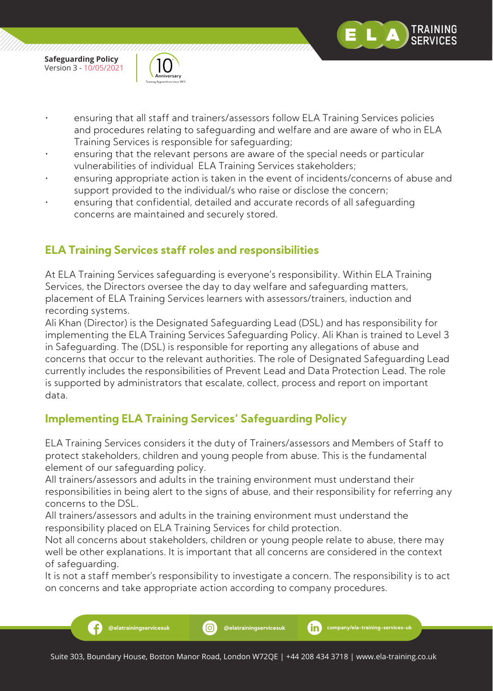

,,,,,,,,,,,,,,,,,,,,,,,,,,,,,,



- ensuring that all staff and trainers/assessors follow ELA Training Services policies and procedures relating to safeguarding and welfare and are aware of who in ELA Training Services is responsible for safeguarding;
- ensuring that the relevant persons are aware of the special needs or particular vulnerabilities of individual ELA Training Services stakeholders;
- ensuring appropriate action is taken in the event of incidents/concerns of abuse and support provided to the individual/s who raise or disclose the concern;
- ensuring that confidential, detailed and accurate records of all safeguarding concerns are maintained and securely stored.

# **ELA Training Services staff roles and responsibilities**

At ELA Training Services safeguarding is everyone's responsibility. Within ELA Training Services, the Directors oversee the day to day welfare and safeguarding matters, placement of ELA Training Services learners with assessors/trainers, induction and recording systems.

Ali Khan (Director) is the Designated Safeguarding Lead (DSL) and has responsibility for implementing the ELA Training Services Safeguarding Policy. Ali Khan is trained to Level 3 in Safeguarding. The (DSL) is responsible for reporting any allegations of abuse and concerns that occur to the relevant authorities. The role of Designated Safeguarding Lead currently includes the responsibilities of Prevent Lead and Data Protection Lead. The role is supported by administrators that escalate, collect, process and report on important data.

# **Implementing ELA Training Services' Safeguarding Policy**

ELA Training Services considers it the duty of Trainers/assessors and Members of Staff to protect stakeholders, children and young people from abuse. This is the fundamental element of our safeguarding policy.

All trainers/assessors and adults in the training environment must understand their responsibilities in being alert to the signs of abuse, and their responsibility for referring any concerns to the DSL.

All trainers/assessors and adults in the training environment must understand the responsibility placed on ELA Training Services for child protection.

Not all concerns about stakeholders, children or young people relate to abuse, there may well be other explanations. It is important that all concerns are considered in the context of safeguarding.

It is not a staff member's responsibility to investigate a concern. The responsibility is to act on concerns and take appropriate action according to company procedures.

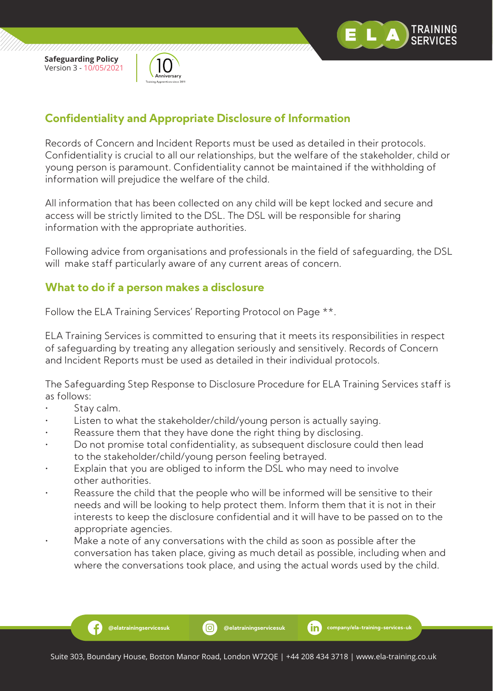

,,,,,,,,,,,,,,,,,,,,,,,,



# **Confidentiality and Appropriate Disclosure of Information**

Records of Concern and Incident Reports must be used as detailed in their protocols. Confidentiality is crucial to all our relationships, but the welfare of the stakeholder, child or young person is paramount. Confidentiality cannot be maintained if the withholding of information will prejudice the welfare of the child.

All information that has been collected on any child will be kept locked and secure and access will be strictly limited to the DSL. The DSL will be responsible for sharing information with the appropriate authorities.

Following advice from organisations and professionals in the field of safeguarding, the DSL will make staff particularly aware of any current areas of concern.

# **What to do if a person makes a disclosure**

Follow the ELA Training Services' Reporting Protocol on Page \*\*.

ELA Training Services is committed to ensuring that it meets its responsibilities in respect of safeguarding by treating any allegation seriously and sensitively. Records of Concern and Incident Reports must be used as detailed in their individual protocols.

The Safeguarding Step Response to Disclosure Procedure for ELA Training Services staff is as follows:

Stay calm.

Ð

- Listen to what the stakeholder/child/young person is actually saying.
- Reassure them that they have done the right thing by disclosing.
- Do not promise total confidentiality, as subsequent disclosure could then lead to the stakeholder/child/young person feeling betrayed.
- Explain that you are obliged to inform the DSL who may need to involve other authorities.
- Reassure the child that the people who will be informed will be sensitive to their needs and will be looking to help protect them. Inform them that it is not in their interests to keep the disclosure confidential and it will have to be passed on to the appropriate agencies.
- Make a note of any conversations with the child as soon as possible after the conversation has taken place, giving as much detail as possible, including when and where the conversations took place, and using the actual words used by the child.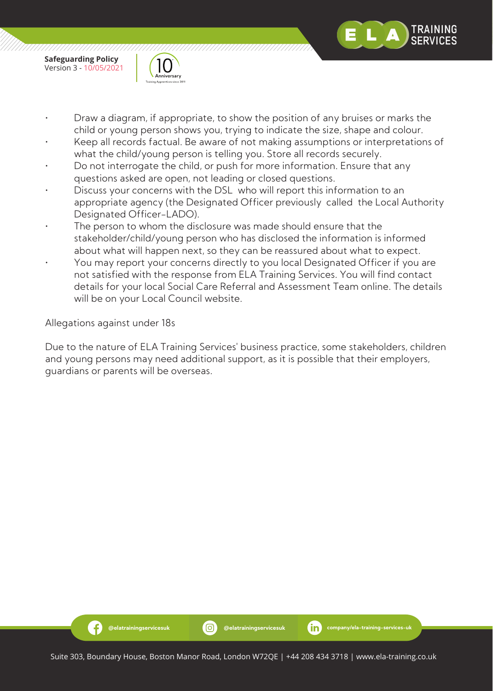

,,,,,,,,,,,,,,,,,,,,,,,,,



- Draw a diagram, if appropriate, to show the position of any bruises or marks the child or young person shows you, trying to indicate the size, shape and colour.
- Keep all records factual. Be aware of not making assumptions or interpretations of what the child/young person is telling you. Store all records securely.
- Do not interrogate the child, or push for more information. Ensure that any questions asked are open, not leading or closed questions.
- Discuss your concerns with the DSL who will report this information to an appropriate agency (the Designated Officer previously called the Local Authority Designated Officer-LADO).
- The person to whom the disclosure was made should ensure that the stakeholder/child/young person who has disclosed the information is informed about what will happen next, so they can be reassured about what to expect.
- You may report your concerns directly to you local Designated Officer if you are not satisfied with the response from ELA Training Services. You will find contact details for your local Social Care Referral and Assessment Team online. The details will be on your Local Council website.

Allegations against under 18s

Ð

Due to the nature of ELA Training Services' business practice, some stakeholders, children and young persons may need additional support, as it is possible that their employers, guardians or parents will be overseas.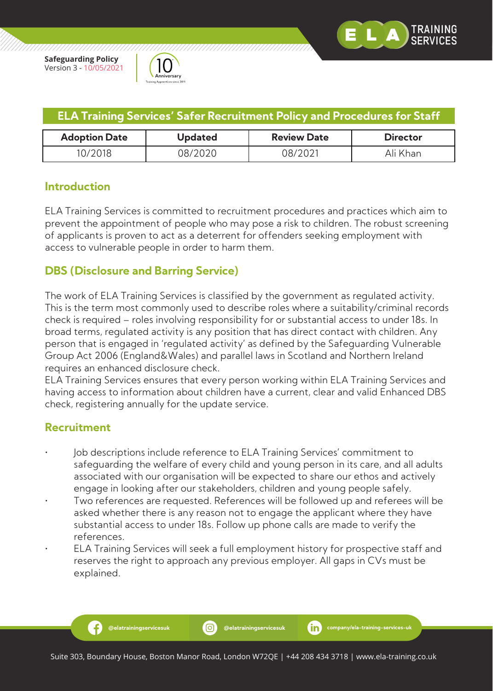



| <b>ELA Training Services' Safer Recruitment Policy and Procedures for Staff</b> |                |                    |                 |  |
|---------------------------------------------------------------------------------|----------------|--------------------|-----------------|--|
| <b>Adoption Date</b>                                                            | <b>Updated</b> | <b>Review Date</b> | <b>Director</b> |  |
| 10/2018                                                                         | 08/2020        | 08/2021            | Ali Khan        |  |

# **Introduction**

ELA Training Services is committed to recruitment procedures and practices which aim to prevent the appointment of people who may pose a risk to children. The robust screening of applicants is proven to act as a deterrent for offenders seeking employment with access to vulnerable people in order to harm them.

# **DBS (Disclosure and Barring Service)**

The work of ELA Training Services is classified by the government as regulated activity. This is the term most commonly used to describe roles where a suitability/criminal records check is required – roles involving responsibility for or substantial access to under 18s. In broad terms, regulated activity is any position that has direct contact with children. Any person that is engaged in 'regulated activity' as defined by the Safeguarding Vulnerable Group Act 2006 (England&Wales) and parallel laws in Scotland and Northern Ireland requires an enhanced disclosure check.

ELA Training Services ensures that every person working within ELA Training Services and having access to information about children have a current, clear and valid Enhanced DBS check, registering annually for the update service.

## **Recruitment**

- Job descriptions include reference to ELA Training Services' commitment to safeguarding the welfare of every child and young person in its care, and all adults associated with our organisation will be expected to share our ethos and actively engage in looking after our stakeholders, children and young people safely.
- Two references are requested. References will be followed up and referees will be asked whether there is any reason not to engage the applicant where they have substantial access to under 18s. Follow up phone calls are made to verify the references.
- ELA Training Services will seek a full employment history for prospective staff and reserves the right to approach any previous employer. All gaps in CVs must be explained.

-9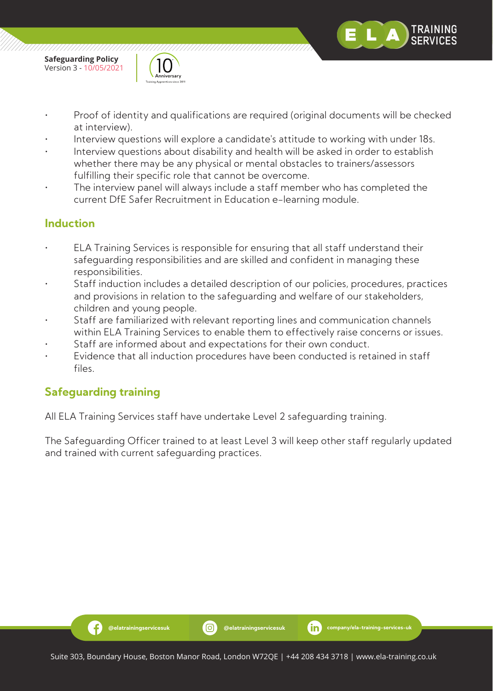

- Proof of identity and qualifications are required (original documents will be checked at interview).
- Interview questions will explore a candidate's attitude to working with under 18s.
- Interview questions about disability and health will be asked in order to establish whether there may be any physical or mental obstacles to trainers/assessors fulfilling their specific role that cannot be overcome.
- The interview panel will always include a staff member who has completed the current DfE Safer Recruitment in Education e-learning module.

# **Induction**

- ELA Training Services is responsible for ensuring that all staff understand their safeguarding responsibilities and are skilled and confident in managing these responsibilities.
- Staff induction includes a detailed description of our policies, procedures, practices and provisions in relation to the safeguarding and welfare of our stakeholders, children and young people.
- Staff are familiarized with relevant reporting lines and communication channels within ELA Training Services to enable them to effectively raise concerns or issues.
- Staff are informed about and expectations for their own conduct.
- Evidence that all induction procedures have been conducted is retained in staff files.

# **Safeguarding training**

All ELA Training Services staff have undertake Level 2 safeguarding training.

The Safeguarding Officer trained to at least Level 3 will keep other staff regularly updated and trained with current safeguarding practices.

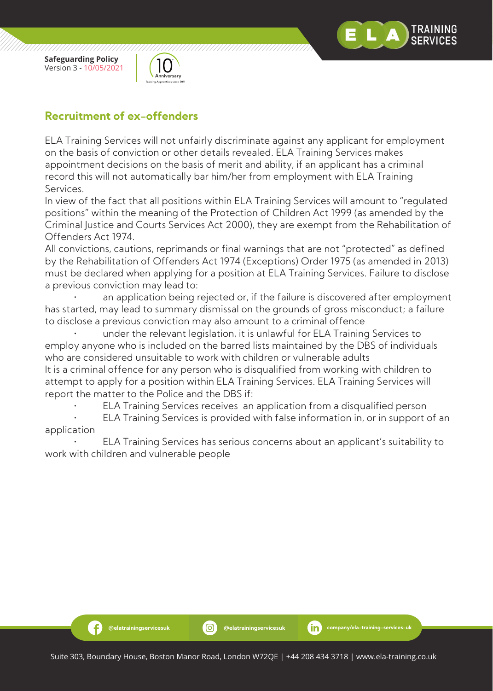



# **Recruitment of ex-offenders**

ELA Training Services will not unfairly discriminate against any applicant for employment on the basis of conviction or other details revealed. ELA Training Services makes appointment decisions on the basis of merit and ability, if an applicant has a criminal record this will not automatically bar him/her from employment with ELA Training Services.

In view of the fact that all positions within ELA Training Services will amount to "regulated positions" within the meaning of the Protection of Children Act 1999 (as amended by the Criminal Justice and Courts Services Act 2000), they are exempt from the Rehabilitation of Offenders Act 1974.

All convictions, cautions, reprimands or final warnings that are not "protected" as defined by the Rehabilitation of Offenders Act 1974 (Exceptions) Order 1975 (as amended in 2013) must be declared when applying for a position at ELA Training Services. Failure to disclose a previous conviction may lead to:

an application being rejected or, if the failure is discovered after employment has started, may lead to summary dismissal on the grounds of gross misconduct; a failure to disclose a previous conviction may also amount to a criminal offence

 • under the relevant legislation, it is unlawful for ELA Training Services to employ anyone who is included on the barred lists maintained by the DBS of individuals who are considered unsuitable to work with children or vulnerable adults It is a criminal offence for any person who is disqualified from working with children to attempt to apply for a position within ELA Training Services. ELA Training Services will report the matter to the Police and the DBS if:

• ELA Training Services receives an application from a disqualified person

 • ELA Training Services is provided with false information in, or in support of an application

 • ELA Training Services has serious concerns about an applicant's suitability to work with children and vulnerable people

Ð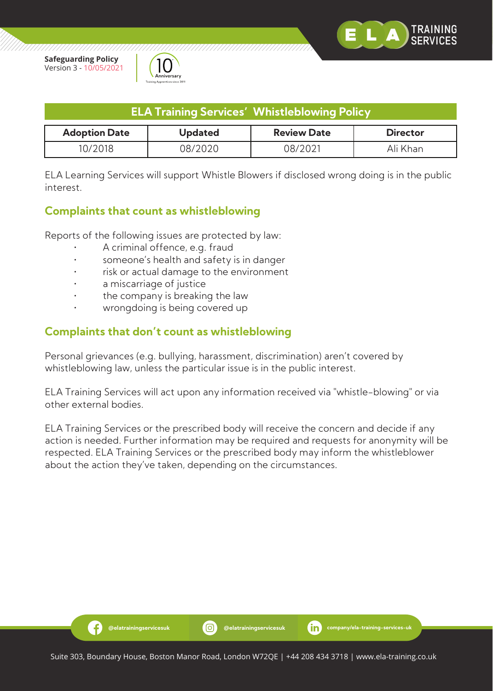

,,,,,,,,,,,,,,,,,,,,



| <b>ELA Training Services' Whistleblowing Policy</b>                             |         |         |          |  |
|---------------------------------------------------------------------------------|---------|---------|----------|--|
| <b>Adoption Date</b><br><b>Review Date</b><br><b>Updated</b><br><b>Director</b> |         |         |          |  |
| 10/2018                                                                         | 08/2020 | N8/2N21 | Ali Khan |  |

ELA Learning Services will support Whistle Blowers if disclosed wrong doing is in the public interest.

## **Complaints that count as whistleblowing**

Reports of the following issues are protected by law:

- A criminal offence, e.g. fraud
- someone's health and safety is in danger
- risk or actual damage to the environment
- a miscarriage of justice

-9

- the company is breaking the law
- wrongdoing is being covered up

# **Complaints that don't count as whistleblowing**

Personal grievances (e.g. bullying, harassment, discrimination) aren't covered by whistleblowing law, unless the particular issue is in the public interest.

ELA Training Services will act upon any information received via "whistle-blowing" or via other external bodies.

ELA Training Services or the prescribed body will receive the concern and decide if any action is needed. Further information may be required and requests for anonymity will be respected. ELA Training Services or the prescribed body may inform the whistleblower about the action they've taken, depending on the circumstances.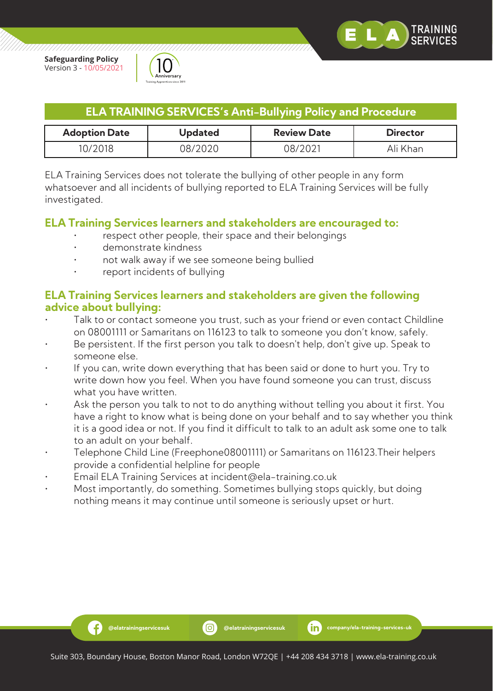

,,,,,,,,,,,,,,,,,,,,,,,



| <b>ELA TRAINING SERVICES's Anti-Bullying Policy and Procedure</b> |  |  |
|-------------------------------------------------------------------|--|--|
|                                                                   |  |  |

| <b>Adoption Date</b> | Updated | <b>Review Date</b> | <b>Director</b> |
|----------------------|---------|--------------------|-----------------|
| 0/2018               | ว8/2020 | 78/202.            | Ali Khan        |

ELA Training Services does not tolerate the bullying of other people in any form whatsoever and all incidents of bullying reported to ELA Training Services will be fully investigated.

#### **ELA Training Services learners and stakeholders are encouraged to:**

- respect other people, their space and their belongings
- demonstrate kindness

Ð

- not walk away if we see someone being bullied
- report incidents of bullying

## **ELA Training Services learners and stakeholders are given the following advice about bullying:**

- Talk to or contact someone you trust, such as your friend or even contact Childline on 08001111 or Samaritans on 116123 to talk to someone you don't know, safely.
- Be persistent. If the first person you talk to doesn't help, don't give up. Speak to someone else.
- If you can, write down everything that has been said or done to hurt you. Try to write down how you feel. When you have found someone you can trust, discuss what you have written.
- Ask the person you talk to not to do anything without telling you about it first. You have a right to know what is being done on your behalf and to say whether you think it is a good idea or not. If you find it difficult to talk to an adult ask some one to talk to an adult on your behalf.
- Telephone Child Line (Freephone08001111) or Samaritans on 116123.Their helpers provide a confidential helpline for people
- Email ELA Training Services at incident@ela-training.co.uk
- Most importantly, do something. Sometimes bullying stops quickly, but doing nothing means it may continue until someone is seriously upset or hurt.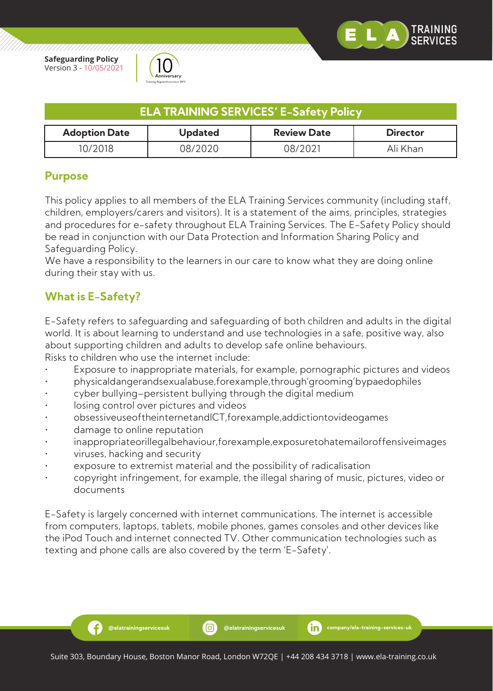

777777777777777777



| <b>ELA TRAINING SERVICES' E-Safety Policy</b>                                   |         |         |          |  |
|---------------------------------------------------------------------------------|---------|---------|----------|--|
| <b>Adoption Date</b><br><b>Review Date</b><br><b>Updated</b><br><b>Director</b> |         |         |          |  |
| 10/2018                                                                         | 08/2020 | N8/2N21 | Ali Khan |  |

## **Purpose**

This policy applies to all members of the ELA Training Services community (including staff, children, employers/carers and visitors). It is a statement of the aims, principles, strategies and procedures for e-safety throughout ELA Training Services. The E-Safety Policy should be read in conjunction with our Data Protection and Information Sharing Policy and Safeguarding Policy.

We have a responsibility to the learners in our care to know what they are doing online during their stay with us.

# **What is E-Safety?**

E-Safety refers to safeguarding and safeguarding of both children and adults in the digital world. It is about learning to understand and use technologies in a safe, positive way, also about supporting children and adults to develop safe online behaviours. Risks to children who use the internet include:

- Exposure to inappropriate materials, for example, pornographic pictures and videos
- physicaldangerandsexualabuse,forexample,through'grooming'bypaedophiles
- cyber bullying–persistent bullying through the digital medium
- losing control over pictures and videos
- obsessiveuseoftheinternetandICT,forexample,addictiontovideogames
- damage to online reputation
- inappropriateorillegalbehaviour,forexample,exposuretohatemailoroffensiveimages
- viruses, hacking and security

Ð

- exposure to extremist material and the possibility of radicalisation
- copyright infringement, for example, the illegal sharing of music, pictures, video or documents

E-Safety is largely concerned with internet communications. The internet is accessible from computers, laptops, tablets, mobile phones, games consoles and other devices like the iPod Touch and internet connected TV. Other communication technologies such as texting and phone calls are also covered by the term 'E-Safety'.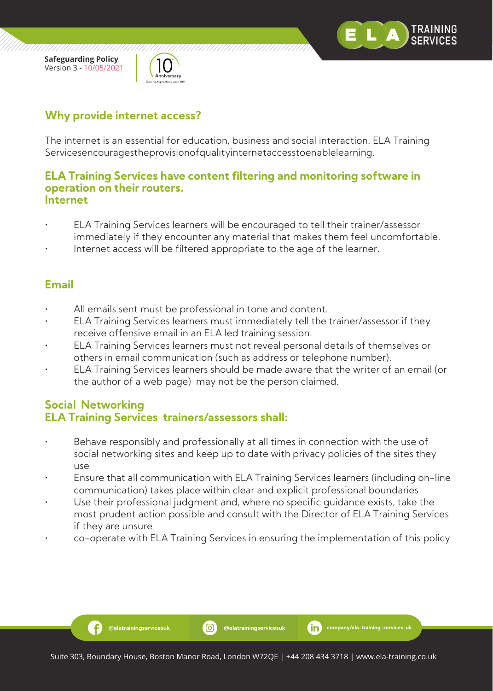

,,,,,,,,,,,,,,,,,,,,,,,,,



# **Why provide internet access?**

The internet is an essential for education, business and social interaction. ELA Training Servicesencouragestheprovisionofqualityinternetaccesstoenablelearning.

#### **ELA Training Services have content filtering and monitoring software in operation on their routers. Internet**

- ELA Training Services learners will be encouraged to tell their trainer/assessor immediately if they encounter any material that makes them feel uncomfortable.
- Internet access will be filtered appropriate to the age of the learner.

# **Email**

- All emails sent must be professional in tone and content.
- ELA Training Services learners must immediately tell the trainer/assessor if they receive offensive email in an ELA led training session.
- ELA Training Services learners must not reveal personal details of themselves or others in email communication (such as address or telephone number).
- ELA Training Services learners should be made aware that the writer of an email (or the author of a web page) may not be the person claimed.

#### **Social Networking ELA Training Services trainers/assessors shall:**

- Behave responsibly and professionally at all times in connection with the use of social networking sites and keep up to date with privacy policies of the sites they use
- Ensure that all communication with ELA Training Services learners (including on-line communication) takes place within clear and explicit professional boundaries
- Use their professional judgment and, where no specific guidance exists, take the most prudent action possible and consult with the Director of ELA Training Services if they are unsure
- co-operate with ELA Training Services in ensuring the implementation of this policy

.G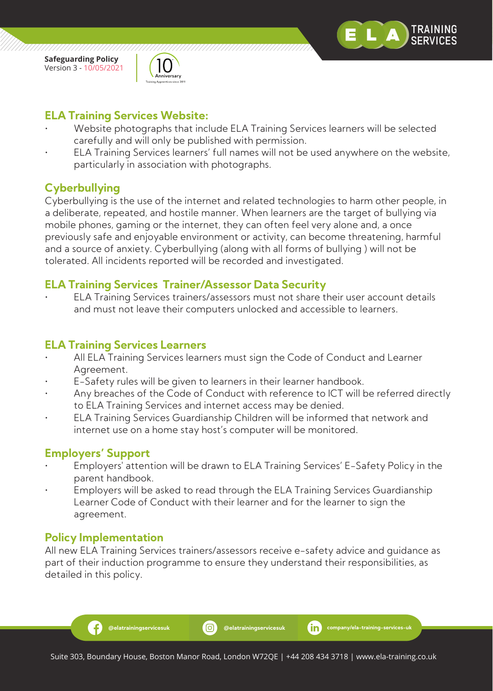



# **ELA Training Services Website:**

- Website photographs that include ELA Training Services learners will be selected carefully and will only be published with permission.
- ELA Training Services learners' full names will not be used anywhere on the website, particularly in association with photographs.

# **Cyberbullying**

Cyberbullying is the use of the internet and related technologies to harm other people, in a deliberate, repeated, and hostile manner. When learners are the target of bullying via mobile phones, gaming or the internet, they can often feel very alone and, a once previously safe and enjoyable environment or activity, can become threatening, harmful and a source of anxiety. Cyberbullying (along with all forms of bullying ) will not be tolerated. All incidents reported will be recorded and investigated.

# **ELA Training Services Trainer/Assessor Data Security**

• ELA Training Services trainers/assessors must not share their user account details and must not leave their computers unlocked and accessible to learners.

## **ELA Training Services Learners**

- All ELA Training Services learners must sign the Code of Conduct and Learner Agreement.
- E-Safety rules will be given to learners in their learner handbook.
- Any breaches of the Code of Conduct with reference to ICT will be referred directly to ELA Training Services and internet access may be denied.
- ELA Training Services Guardianship Children will be informed that network and internet use on a home stay host's computer will be monitored.

# **Employers' Support**

- Employers' attention will be drawn to ELA Training Services' E-Safety Policy in the parent handbook.
- Employers will be asked to read through the ELA Training Services Guardianship Learner Code of Conduct with their learner and for the learner to sign the agreement.

#### **Policy Implementation**

-6

All new ELA Training Services trainers/assessors receive e-safety advice and guidance as part of their induction programme to ensure they understand their responsibilities, as detailed in this policy.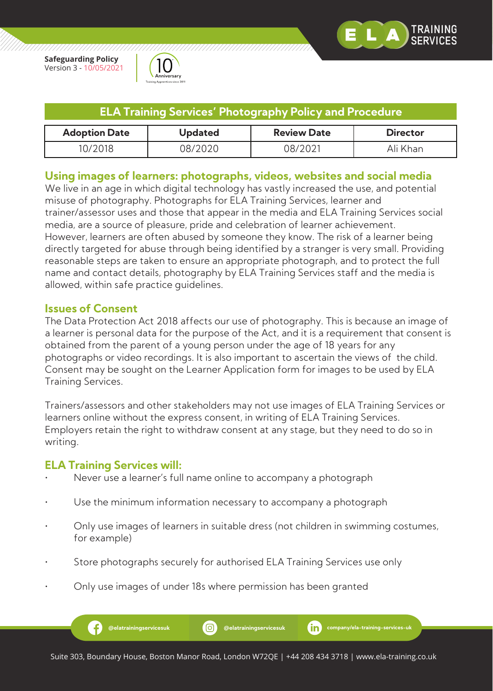

`RAINING

**Safeguarding Policy** Version 3 - 10/05/2021



| <b>ELA Training Services' Photography Policy and Procedure</b>                  |         |         |          |  |
|---------------------------------------------------------------------------------|---------|---------|----------|--|
| <b>Adoption Date</b><br><b>Review Date</b><br><b>Director</b><br><b>Updated</b> |         |         |          |  |
| 10/2018                                                                         | 08/2020 | 08/2021 | Ali Khan |  |

#### **Using images of learners: photographs, videos, websites and social media**

We live in an age in which digital technology has vastly increased the use, and potential misuse of photography. Photographs for ELA Training Services, learner and trainer/assessor uses and those that appear in the media and ELA Training Services social media, are a source of pleasure, pride and celebration of learner achievement. However, learners are often abused by someone they know. The risk of a learner being directly targeted for abuse through being identified by a stranger is very small. Providing reasonable steps are taken to ensure an appropriate photograph, and to protect the full name and contact details, photography by ELA Training Services staff and the media is allowed, within safe practice guidelines.

#### **Issues of Consent**

The Data Protection Act 2018 affects our use of photography. This is because an image of a learner is personal data for the purpose of the Act, and it is a requirement that consent is obtained from the parent of a young person under the age of 18 years for any photographs or video recordings. It is also important to ascertain the views of the child. Consent may be sought on the Learner Application form for images to be used by ELA Training Services.

Trainers/assessors and other stakeholders may not use images of ELA Training Services or learners online without the express consent, in writing of ELA Training Services. Employers retain the right to withdraw consent at any stage, but they need to do so in writing.

## **ELA Training Services will:**

- Never use a learner's full name online to accompany a photograph
- Use the minimum information necessary to accompany a photograph
- Only use images of learners in suitable dress (not children in swimming costumes, for example)
- Store photographs securely for authorised ELA Training Services use only
- Only use images of under 18s where permission has been granted

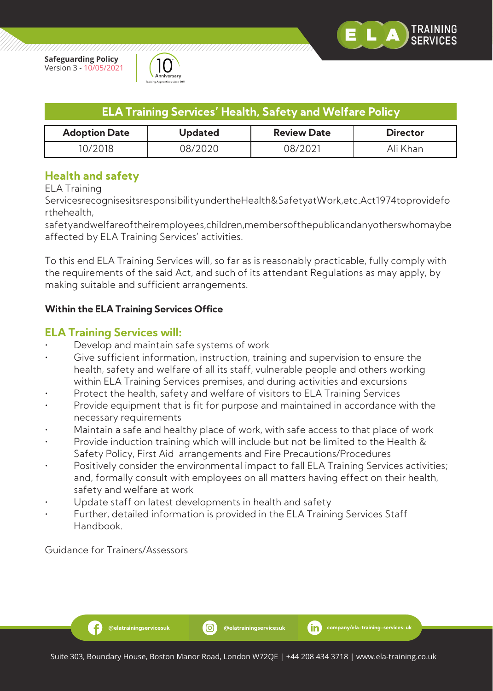



| <b>ELA Training Services' Health, Safety and Welfare Policy</b>                 |         |         |          |  |
|---------------------------------------------------------------------------------|---------|---------|----------|--|
| <b>Adoption Date</b><br><b>Review Date</b><br><b>Updated</b><br><b>Director</b> |         |         |          |  |
| 10/2018                                                                         | 08/2020 | 08/2021 | Ali Khan |  |

## **Health and safety**

ELA Training

ServicesrecognisesitsresponsibilityundertheHealth&SafetyatWork,etc.Act1974toprovidefo rthehealth,

safetyandwelfareoftheiremployees,children,membersofthepublicandanyotherswhomaybe affected by ELA Training Services' activities.

To this end ELA Training Services will, so far as is reasonably practicable, fully comply with the requirements of the said Act, and such of its attendant Regulations as may apply, by making suitable and sufficient arrangements.

#### **Within the ELA Training Services Office**

#### **ELA Training Services will:**

- Develop and maintain safe systems of work
- Give sufficient information, instruction, training and supervision to ensure the health, safety and welfare of all its staff, vulnerable people and others working within ELA Training Services premises, and during activities and excursions
- Protect the health, safety and welfare of visitors to ELA Training Services
- Provide equipment that is fit for purpose and maintained in accordance with the necessary requirements
- Maintain a safe and healthy place of work, with safe access to that place of work
- Provide induction training which will include but not be limited to the Health & Safety Policy, First Aid arrangements and Fire Precautions/Procedures
- Positively consider the environmental impact to fall ELA Training Services activities; and, formally consult with employees on all matters having effect on their health, safety and welfare at work
- Update staff on latest developments in health and safety
- Further, detailed information is provided in the ELA Training Services Staff Handbook.

Guidance for Trainers/Assessors

Ð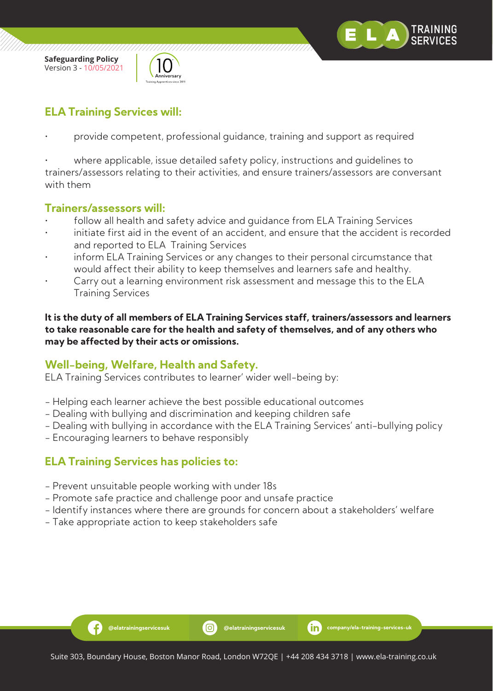

/////////////////////



# **ELA Training Services will:**

• provide competent, professional guidance, training and support as required

where applicable, issue detailed safety policy, instructions and quidelines to trainers/assessors relating to their activities, and ensure trainers/assessors are conversant with them

#### **Trainers/assessors will:**

- follow all health and safety advice and quidance from ELA Training Services
- initiate first aid in the event of an accident, and ensure that the accident is recorded and reported to ELA Training Services
- inform ELA Training Services or any changes to their personal circumstance that would affect their ability to keep themselves and learners safe and healthy.
- Carry out a learning environment risk assessment and message this to the ELA Training Services

**It is the duty of all members of ELA Training Services staff, trainers/assessors and learners to take reasonable care for the health and safety of themselves, and of any others who may be affected by their acts or omissions.**

## **Well-being, Welfare, Health and Safety.**

ELA Training Services contributes to learner' wider well-being by:

- Helping each learner achieve the best possible educational outcomes
- Dealing with bullying and discrimination and keeping children safe
- Dealing with bullying in accordance with the ELA Training Services' anti-bullying policy
- Encouraging learners to behave responsibly

## **ELA Training Services has policies to:**

Ð

- Prevent unsuitable people working with under 18s
- Promote safe practice and challenge poor and unsafe practice
- Identify instances where there are grounds for concern about a stakeholders' welfare
- Take appropriate action to keep stakeholders safe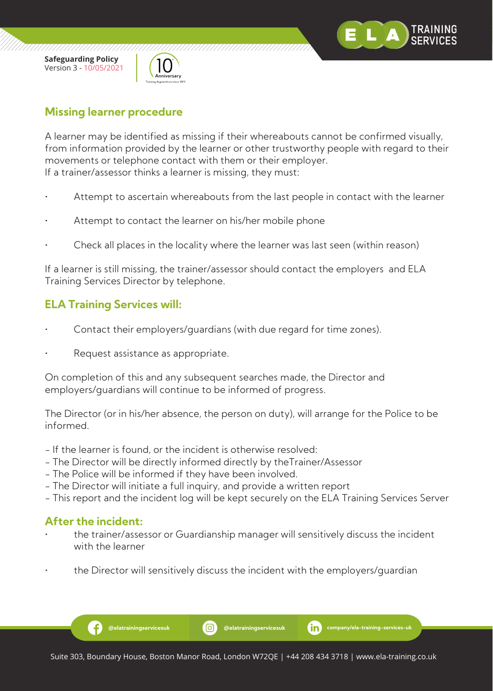



# **Missing learner procedure**

A learner may be identified as missing if their whereabouts cannot be confirmed visually, from information provided by the learner or other trustworthy people with regard to their movements or telephone contact with them or their employer. If a trainer/assessor thinks a learner is missing, they must:

- Attempt to ascertain whereabouts from the last people in contact with the learner
- Attempt to contact the learner on his/her mobile phone
- Check all places in the locality where the learner was last seen (within reason)

If a learner is still missing, the trainer/assessor should contact the employers and ELA Training Services Director by telephone.

# **ELA Training Services will:**

- Contact their employers/guardians (with due regard for time zones).
- Request assistance as appropriate.

On completion of this and any subsequent searches made, the Director and employers/guardians will continue to be informed of progress.

The Director (or in his/her absence, the person on duty), will arrange for the Police to be informed.

- If the learner is found, or the incident is otherwise resolved:
- The Director will be directly informed directly by theTrainer/Assessor
- The Police will be informed if they have been involved.
- The Director will initiate a full inquiry, and provide a written report
- This report and the incident log will be kept securely on the ELA Training Services Server

#### **After the incident:**

Ð

- the trainer/assessor or Guardianship manager will sensitively discuss the incident with the learner
- the Director will sensitively discuss the incident with the employers/guardian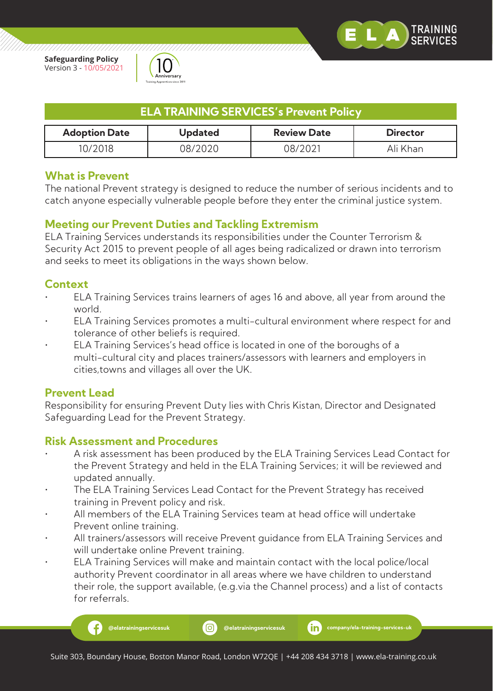

////////////////////



| <b>ELA TRAINING SERVICES's Prevent Policy</b>                                   |         |         |          |  |
|---------------------------------------------------------------------------------|---------|---------|----------|--|
| <b>Adoption Date</b><br><b>Review Date</b><br><b>Director</b><br><b>Updated</b> |         |         |          |  |
| 10/2018.                                                                        | 08/2020 | 08/2021 | Ali Khan |  |

#### **What is Prevent**

The national Prevent strategy is designed to reduce the number of serious incidents and to catch anyone especially vulnerable people before they enter the criminal justice system.

#### **Meeting our Prevent Duties and Tackling Extremism**

ELA Training Services understands its responsibilities under the Counter Terrorism & Security Act 2015 to prevent people of all ages being radicalized or drawn into terrorism and seeks to meet its obligations in the ways shown below.

## **Context**

- ELA Training Services trains learners of ages 16 and above, all year from around the world.
- ELA Training Services promotes a multi-cultural environment where respect for and tolerance of other beliefs is required.
- ELA Training Services's head office is located in one of the boroughs of a multi-cultural city and places trainers/assessors with learners and employers in cities,towns and villages all over the UK.

#### **Prevent Lead**

Æ

Responsibility for ensuring Prevent Duty lies with Chris Kistan, Director and Designated Safeguarding Lead for the Prevent Strategy.

#### **Risk Assessment and Procedures**

- A risk assessment has been produced by the ELA Training Services Lead Contact for the Prevent Strategy and held in the ELA Training Services; it will be reviewed and updated annually.
- The ELA Training Services Lead Contact for the Prevent Strategy has received training in Prevent policy and risk.
- All members of the ELA Training Services team at head office will undertake Prevent online training.
- All trainers/assessors will receive Prevent guidance from ELA Training Services and will undertake online Prevent training.
- ELA Training Services will make and maintain contact with the local police/local authority Prevent coordinator in all areas where we have children to understand their role, the support available, (e.g.via the Channel process) and a list of contacts for referrals.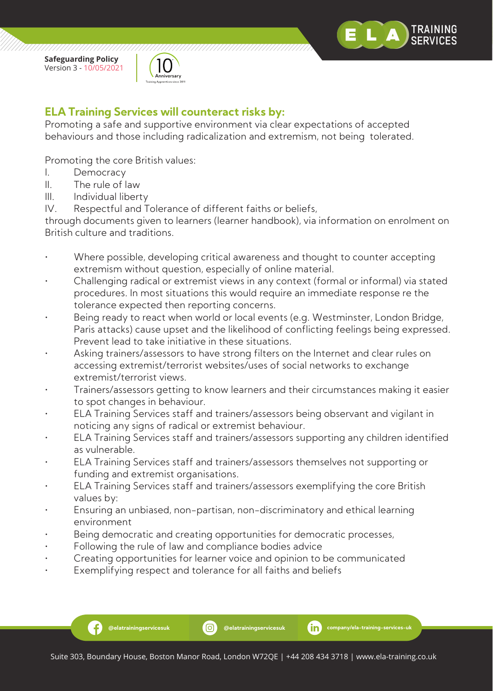

,,,,,,,,,,,,,,,,,,,,,,,,,,



# **ELA Training Services will counteract risks by:**

Promoting a safe and supportive environment via clear expectations of accepted behaviours and those including radicalization and extremism, not being tolerated.

Promoting the core British values:

- I. Democracy
- II. The rule of law
- III. Individual liberty

IV. Respectful and Tolerance of different faiths or beliefs,

through documents given to learners (learner handbook), via information on enrolment on British culture and traditions.

- Where possible, developing critical awareness and thought to counter accepting extremism without question, especially of online material.
- Challenging radical or extremist views in any context (formal or informal) via stated procedures. In most situations this would require an immediate response re the tolerance expected then reporting concerns.
- Being ready to react when world or local events (e.g. Westminster, London Bridge, Paris attacks) cause upset and the likelihood of conflicting feelings being expressed. Prevent lead to take initiative in these situations.
- Asking trainers/assessors to have strong filters on the Internet and clear rules on accessing extremist/terrorist websites/uses of social networks to exchange extremist/terrorist views.
- Trainers/assessors getting to know learners and their circumstances making it easier to spot changes in behaviour.
- ELA Training Services staff and trainers/assessors being observant and vigilant in noticing any signs of radical or extremist behaviour.
- ELA Training Services staff and trainers/assessors supporting any children identified as vulnerable.
- ELA Training Services staff and trainers/assessors themselves not supporting or funding and extremist organisations.
- ELA Training Services staff and trainers/assessors exemplifying the core British values by:
- Ensuring an unbiased, non-partisan, non-discriminatory and ethical learning environment
- Being democratic and creating opportunities for democratic processes,
- Following the rule of law and compliance bodies advice
- Creating opportunities for learner voice and opinion to be communicated
- Exemplifying respect and tolerance for all faiths and beliefs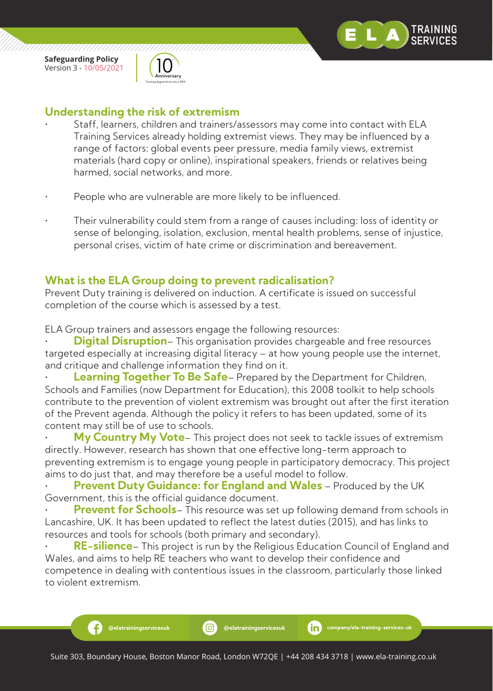

,,,,,,,,,,,,,,,,,,,,,,,

Ð



# **Understanding the risk of extremism**

- Staff, learners, children and trainers/assessors may come into contact with ELA Training Services already holding extremist views. They may be influenced by a range of factors: global events peer pressure, media family views, extremist materials (hard copy or online), inspirational speakers, friends or relatives being harmed, social networks, and more.
- People who are vulnerable are more likely to be influenced.
- Their vulnerability could stem from a range of causes including: loss of identity or sense of belonging, isolation, exclusion, mental health problems, sense of injustice, personal crises, victim of hate crime or discrimination and bereavement.

## **What is the ELA Group doing to prevent radicalisation?**

Prevent Duty training is delivered on induction. A certificate is issued on successful completion of the course which is assessed by a test.

ELA Group trainers and assessors engage the following resources:

**Digital Disruption**– This organisation provides chargeable and free resources targeted especially at increasing digital literacy – at how young people use the internet, and critique and challenge information they find on it.

**Learning Together To Be Safe**– Prepared by the Department for Children, Schools and Families (now Department for Education), this 2008 toolkit to help schools contribute to the prevention of violent extremism was brought out after the first iteration of the Prevent agenda. Although the policy it refers to has been updated, some of its content may still be of use to schools.

• **My Country My Vote**– This project does not seek to tackle issues of extremism directly. However, research has shown that one effective long-term approach to preventing extremism is to engage young people in participatory democracy. This project aims to do just that, and may therefore be a useful model to follow.

**Prevent Duty Guidance: for England and Wales** – Produced by the UK Government, this is the official guidance document.

**Prevent for Schools**– This resource was set up following demand from schools in Lancashire, UK. It has been updated to reflect the latest duties (2015), and has links to resources and tools for schools (both primary and secondary).

• **RE-silience**– This project is run by the Religious Education Council of England and Wales, and aims to help RE teachers who want to develop their confidence and competence in dealing with contentious issues in the classroom, particularly those linked to violent extremism.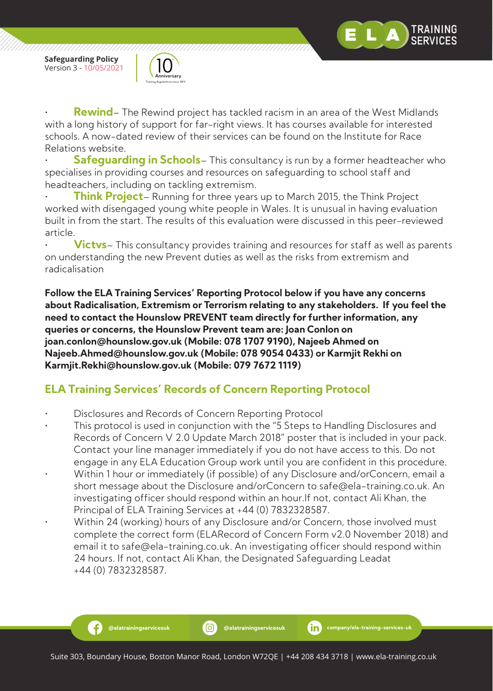

,,,,,,,,,,,,,,,,,,,,,,,

Ð



**Rewind**– The Rewind project has tackled racism in an area of the West Midlands with a long history of support for far-right views. It has courses available for interested schools. A now-dated review of their services can be found on the Institute for Race Relations website.

**Safequarding in Schools**– This consultancy is run by a former headteacher who specialises in providing courses and resources on safeguarding to school staff and headteachers, including on tackling extremism.

• **Think Project**– Running for three years up to March 2015, the Think Project worked with disengaged young white people in Wales. It is unusual in having evaluation built in from the start. The results of this evaluation were discussed in this peer-reviewed article.

**Victvs**– This consultancy provides training and resources for staff as well as parents on understanding the new Prevent duties as well as the risks from extremism and radicalisation

**Follow the ELA Training Services' Reporting Protocol below if you have any concerns about Radicalisation, Extremism or Terrorism relating to any stakeholders. If you feel the need to contact the Hounslow PREVENT team directly for further information, any queries or concerns, the Hounslow Prevent team are: Joan Conlon on joan.conlon@hounslow.gov.uk (Mobile: 078 1707 9190), Najeeb Ahmed on Najeeb.Ahmed@hounslow.gov.uk (Mobile: 078 9054 0433) or Karmjit Rekhi on Karmjit.Rekhi@hounslow.gov.uk (Mobile: 079 7672 1119)**

# **ELA Training Services' Records of Concern Reporting Protocol**

- Disclosures and Records of Concern Reporting Protocol
- This protocol is used in conjunction with the "5 Steps to Handling Disclosures and Records of Concern V 2.0 Update March 2018" poster that is included in your pack. Contact your line manager immediately if you do not have access to this. Do not engage in any ELA Education Group work until you are confident in this procedure.
- Within 1 hour or immediately (if possible) of any Disclosure and/orConcern, email a short message about the Disclosure and/orConcern to safe@ela-training.co.uk. An investigating officer should respond within an hour.If not, contact Ali Khan, the Principal of ELA Training Services at +44 (0) 7832328587.
- Within 24 (working) hours of any Disclosure and/or Concern, those involved must complete the correct form (ELARecord of Concern Form v2.0 November 2018) and email it to safe@ela-training.co.uk. An investigating officer should respond within 24 hours. If not, contact Ali Khan, the Designated Safeguarding Leadat +44 (0) 7832328587.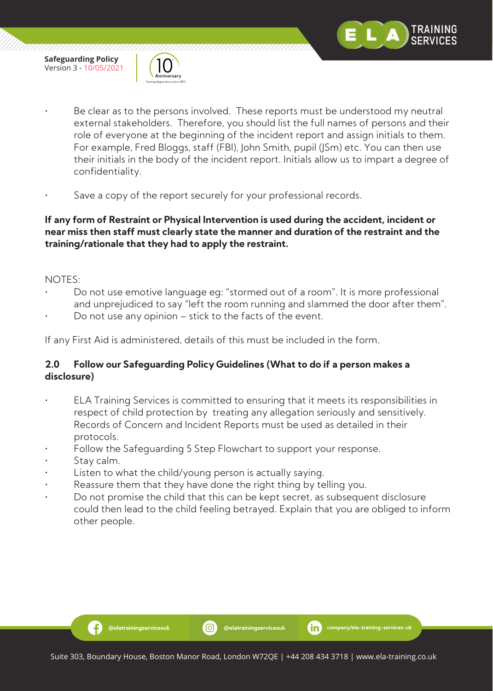



- Be clear as to the persons involved. These reports must be understood my neutral external stakeholders. Therefore, you should list the full names of persons and their role of everyone at the beginning of the incident report and assign initials to them. For example, Fred Bloggs, staff (FBl), John Smith, pupil (JSm) etc. You can then use their initials in the body of the incident report. Initials allow us to impart a degree of confidentiality.
- Save a copy of the report securely for your professional records.

#### **If any form of Restraint or Physical Intervention is used during the accident, incident or near miss then staff must clearly state the manner and duration of the restraint and the training/rationale that they had to apply the restraint.**

#### NOTES:

- Do not use emotive language eg: "stormed out of a room". It is more professional and unprejudiced to say "left the room running and slammed the door after them".
- Do not use any opinion stick to the facts of the event.

If any First Aid is administered, details of this must be included in the form.

#### **2.0 Follow our Safeguarding Policy Guidelines (What to do if a person makes a disclosure)**

- ELA Training Services is committed to ensuring that it meets its responsibilities in respect of child protection by treating any allegation seriously and sensitively. Records of Concern and Incident Reports must be used as detailed in their protocols.
- Follow the Safeguarding 5 Step Flowchart to support your response.
- Stay calm.

Ð

- Listen to what the child/young person is actually saying.
- Reassure them that they have done the right thing by telling you.
- Do not promise the child that this can be kept secret, as subsequent disclosure could then lead to the child feeling betrayed. Explain that you are obliged to inform other people.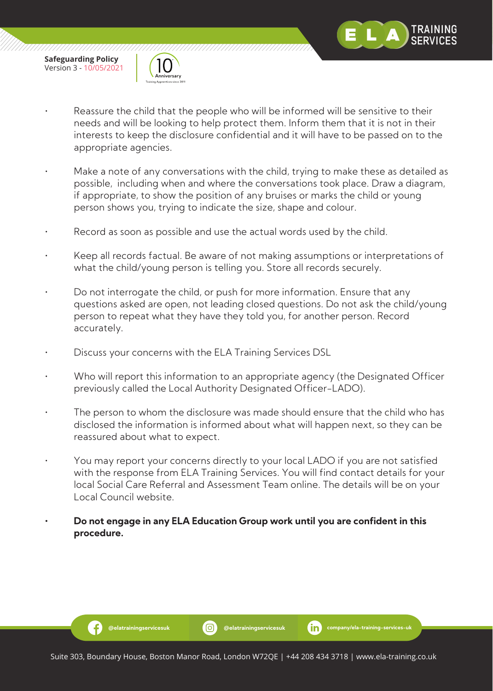

Ð



- Reassure the child that the people who will be informed will be sensitive to their needs and will be looking to help protect them. Inform them that it is not in their interests to keep the disclosure confidential and it will have to be passed on to the appropriate agencies.
- Make a note of any conversations with the child, trying to make these as detailed as possible, including when and where the conversations took place. Draw a diagram, if appropriate, to show the position of any bruises or marks the child or young person shows you, trying to indicate the size, shape and colour.
- Record as soon as possible and use the actual words used by the child.
- Keep all records factual. Be aware of not making assumptions or interpretations of what the child/young person is telling you. Store all records securely.
- Do not interrogate the child, or push for more information. Ensure that any questions asked are open, not leading closed questions. Do not ask the child/young person to repeat what they have they told you, for another person. Record accurately.
- Discuss your concerns with the ELA Training Services DSL
- Who will report this information to an appropriate agency (the Designated Officer previously called the Local Authority Designated Officer-LADO).
- The person to whom the disclosure was made should ensure that the child who has disclosed the information is informed about what will happen next, so they can be reassured about what to expect.
- You may report your concerns directly to your local LADO if you are not satisfied with the response from ELA Training Services. You will find contact details for your local Social Care Referral and Assessment Team online. The details will be on your Local Council website.
- **Do not engage in any ELA Education Group work until you are confident in this procedure.**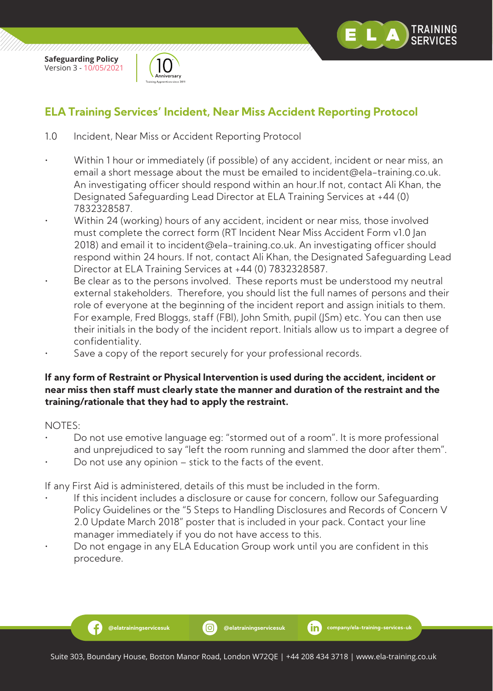



# **ELA Training Services' Incident, Near Miss Accident Reporting Protocol**

- 1.0 Incident, Near Miss or Accident Reporting Protocol
- Within 1 hour or immediately (if possible) of any accident, incident or near miss, an email a short message about the must be emailed to incident@ela-training.co.uk. An investigating officer should respond within an hour.If not, contact Ali Khan, the Designated Safeguarding Lead Director at ELA Training Services at +44 (0) 7832328587.
- Within 24 (working) hours of any accident, incident or near miss, those involved must complete the correct form (RT Incident Near Miss Accident Form v1.0 Jan 2018) and email it to incident@ela-training.co.uk. An investigating officer should respond within 24 hours. If not, contact Ali Khan, the Designated Safeguarding Lead Director at ELA Training Services at +44 (0) 7832328587.
- Be clear as to the persons involved. These reports must be understood my neutral external stakeholders. Therefore, you should list the full names of persons and their role of everyone at the beginning of the incident report and assign initials to them. For example, Fred Bloggs, staff (FBl), John Smith, pupil (JSm) etc. You can then use their initials in the body of the incident report. Initials allow us to impart a degree of confidentiality.
- Save a copy of the report securely for your professional records.

#### **If any form of Restraint or Physical Intervention is used during the accident, incident or near miss then staff must clearly state the manner and duration of the restraint and the training/rationale that they had to apply the restraint.**

#### NOTES:

Ð

- Do not use emotive language eg: "stormed out of a room". It is more professional and unprejudiced to say "left the room running and slammed the door after them".
- Do not use any opinion stick to the facts of the event.

If any First Aid is administered, details of this must be included in the form.

- If this incident includes a disclosure or cause for concern, follow our Safeguarding Policy Guidelines or the "5 Steps to Handling Disclosures and Records of Concern V 2.0 Update March 2018" poster that is included in your pack. Contact your line manager immediately if you do not have access to this.
- Do not engage in any ELA Education Group work until you are confident in this procedure.